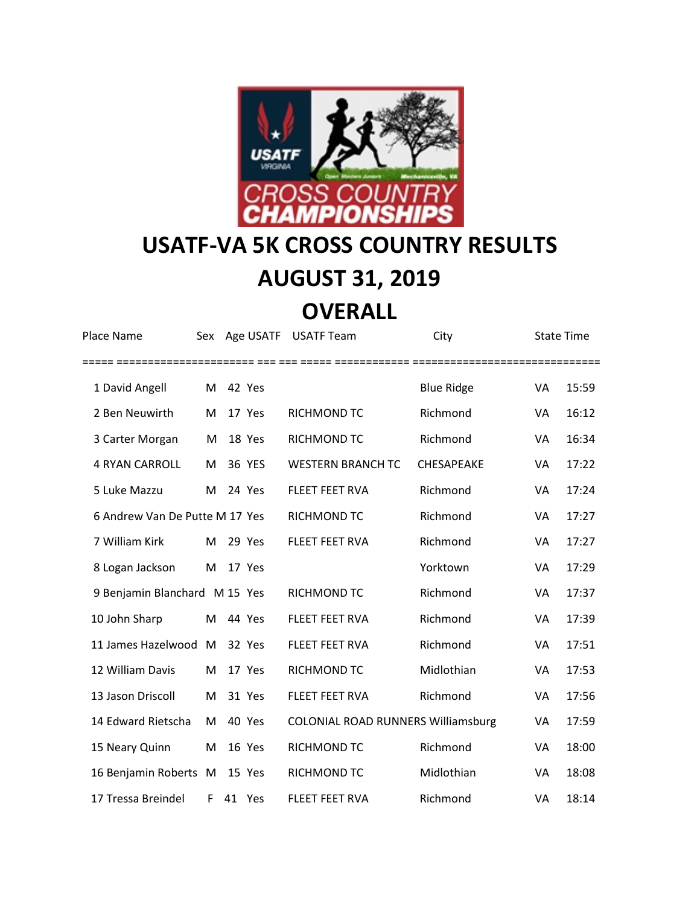

## **USATF-VA 5K CROSS COUNTRY RESULTS**

## **AUGUST 31, 2019**

## **OVERALL**

| Place Name                     | Sex |        | Age USATF USATF Team                      | City              | <b>State Time</b> |       |
|--------------------------------|-----|--------|-------------------------------------------|-------------------|-------------------|-------|
| 1 David Angell                 | M   | 42 Yes |                                           | <b>Blue Ridge</b> | VA                | 15:59 |
| 2 Ben Neuwirth                 | M   | 17 Yes | RICHMOND TC                               | Richmond          | VA                | 16:12 |
| 3 Carter Morgan                | M   | 18 Yes | RICHMOND TC                               | Richmond          | VA                | 16:34 |
| <b>4 RYAN CARROLL</b>          | M   | 36 YES | <b>WESTERN BRANCH TC</b>                  | CHESAPEAKE        | VA                | 17:22 |
| 5 Luke Mazzu                   | M   | 24 Yes | FLEET FEET RVA                            | Richmond          | VA                | 17:24 |
| 6 Andrew Van De Putte M 17 Yes |     |        | RICHMOND TC                               | Richmond          | VA                | 17:27 |
| 7 William Kirk                 | M   | 29 Yes | FLEET FEET RVA                            | Richmond          | VA                | 17:27 |
| 8 Logan Jackson                | M   | 17 Yes |                                           | Yorktown          | VA                | 17:29 |
| 9 Benjamin Blanchard M 15 Yes  |     |        | RICHMOND TC                               | Richmond          | VA                | 17:37 |
| 10 John Sharp                  | M   | 44 Yes | <b>FLEET FEET RVA</b>                     | Richmond          | VA                | 17:39 |
| 11 James Hazelwood M           |     | 32 Yes | <b>FLEET FEET RVA</b>                     | Richmond          | VA                | 17:51 |
| 12 William Davis               | M   | 17 Yes | <b>RICHMOND TC</b>                        | Midlothian        | VA                | 17:53 |
| 13 Jason Driscoll              | M   | 31 Yes | <b>FLEET FEET RVA</b>                     | Richmond          | VA                | 17:56 |
| 14 Edward Rietscha             | M   | 40 Yes | <b>COLONIAL ROAD RUNNERS Williamsburg</b> |                   | VA                | 17:59 |
| 15 Neary Quinn                 | M   | 16 Yes | RICHMOND TC                               | Richmond          | VA                | 18:00 |
| 16 Benjamin Roberts M          |     | 15 Yes | <b>RICHMOND TC</b>                        | Midlothian        | VA                | 18:08 |
| 17 Tressa Breindel             | F   | 41 Yes | <b>FLEET FEET RVA</b>                     | Richmond          | VA                | 18:14 |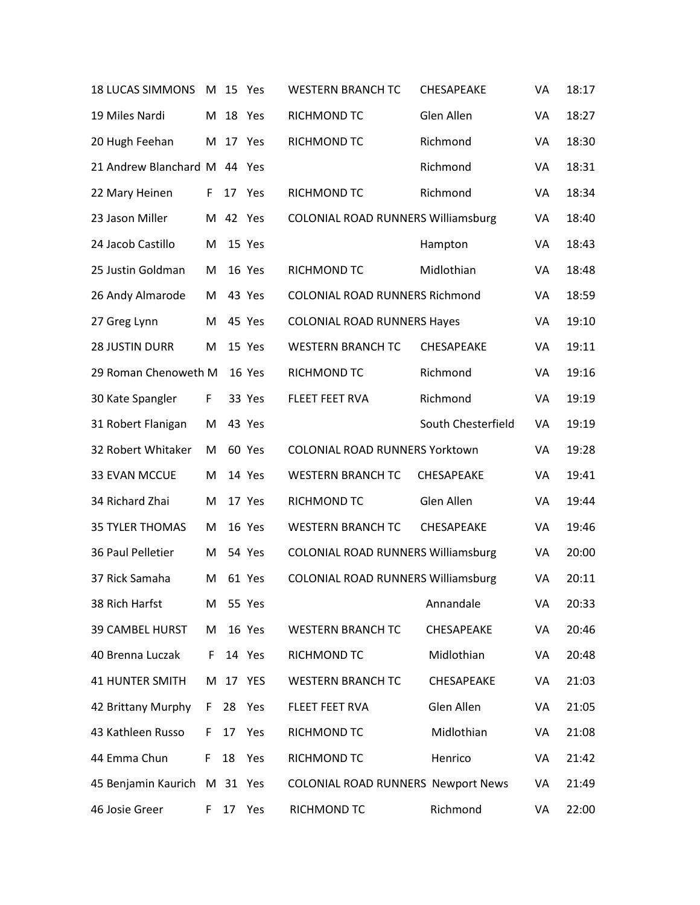| <b>18 LUCAS SIMMONS</b> | M  |          | 15 Yes | <b>WESTERN BRANCH TC</b>                  | CHESAPEAKE         | VA | 18:17 |
|-------------------------|----|----------|--------|-------------------------------------------|--------------------|----|-------|
| 19 Miles Nardi          | M  | 18       | Yes    | RICHMOND TC                               | Glen Allen         | VA | 18:27 |
| 20 Hugh Feehan          | M  | 17       | Yes    | RICHMOND TC                               | Richmond           | VA | 18:30 |
| 21 Andrew Blanchard M   |    |          | 44 Yes |                                           | Richmond           | VA | 18:31 |
| 22 Mary Heinen          | F  | 17       | Yes    | RICHMOND TC                               | Richmond           | VA | 18:34 |
| 23 Jason Miller         | M  |          | 42 Yes | <b>COLONIAL ROAD RUNNERS Williamsburg</b> |                    | VA | 18:40 |
| 24 Jacob Castillo       | M  |          | 15 Yes |                                           | Hampton            | VA | 18:43 |
| 25 Justin Goldman       | M  |          | 16 Yes | RICHMOND TC                               | Midlothian         | VA | 18:48 |
| 26 Andy Almarode        | M  |          | 43 Yes | COLONIAL ROAD RUNNERS Richmond            |                    | VA | 18:59 |
| 27 Greg Lynn            | M  |          | 45 Yes | <b>COLONIAL ROAD RUNNERS Hayes</b>        |                    | VA | 19:10 |
| <b>28 JUSTIN DURR</b>   | M  |          | 15 Yes | <b>WESTERN BRANCH TC</b>                  | CHESAPEAKE         | VA | 19:11 |
| 29 Roman Chenoweth M    |    |          | 16 Yes | RICHMOND TC                               | Richmond           | VA | 19:16 |
| 30 Kate Spangler        | F  |          | 33 Yes | FLEET FEET RVA                            | Richmond           | VA | 19:19 |
| 31 Robert Flanigan      | M  |          | 43 Yes |                                           | South Chesterfield | VA | 19:19 |
| 32 Robert Whitaker      | M  |          | 60 Yes | COLONIAL ROAD RUNNERS Yorktown            |                    | VA | 19:28 |
| 33 EVAN MCCUE           | M  |          | 14 Yes | <b>WESTERN BRANCH TC</b>                  | CHESAPEAKE         | VA | 19:41 |
| 34 Richard Zhai         | M  |          | 17 Yes | RICHMOND TC                               | Glen Allen         | VA | 19:44 |
| <b>35 TYLER THOMAS</b>  | M  |          | 16 Yes | <b>WESTERN BRANCH TC</b>                  | CHESAPEAKE         | VA | 19:46 |
| 36 Paul Pelletier       | M  |          | 54 Yes | COLONIAL ROAD RUNNERS Williamsburg        |                    | VA | 20:00 |
| 37 Rick Samaha          | M  |          | 61 Yes | <b>COLONIAL ROAD RUNNERS Williamsburg</b> |                    | VA | 20:11 |
| 38 Rich Harfst          | M  |          | 55 Yes |                                           | Annandale          | VA | 20:33 |
| <b>39 CAMBEL HURST</b>  | M  |          | 16 Yes | <b>WESTERN BRANCH TC</b>                  | CHESAPEAKE         | VA | 20:46 |
| 40 Brenna Luczak        | F. |          | 14 Yes | RICHMOND TC                               | Midlothian         | VA | 20:48 |
| <b>41 HUNTER SMITH</b>  | M  |          | 17 YES | <b>WESTERN BRANCH TC</b>                  | CHESAPEAKE         | VA | 21:03 |
| 42 Brittany Murphy      | F. | 28       | Yes    | FLEET FEET RVA                            | Glen Allen         | VA | 21:05 |
| 43 Kathleen Russo       | F. | 17       | Yes    | RICHMOND TC                               | Midlothian         | VA | 21:08 |
| 44 Emma Chun            | F. | 18       | Yes    | RICHMOND TC                               | Henrico            | VA | 21:42 |
| 45 Benjamin Kaurich     |    | M 31 Yes |        | <b>COLONIAL ROAD RUNNERS Newport News</b> |                    | VA | 21:49 |
| 46 Josie Greer          | F. | 17 Yes   |        | RICHMOND TC                               | Richmond           | VA | 22:00 |